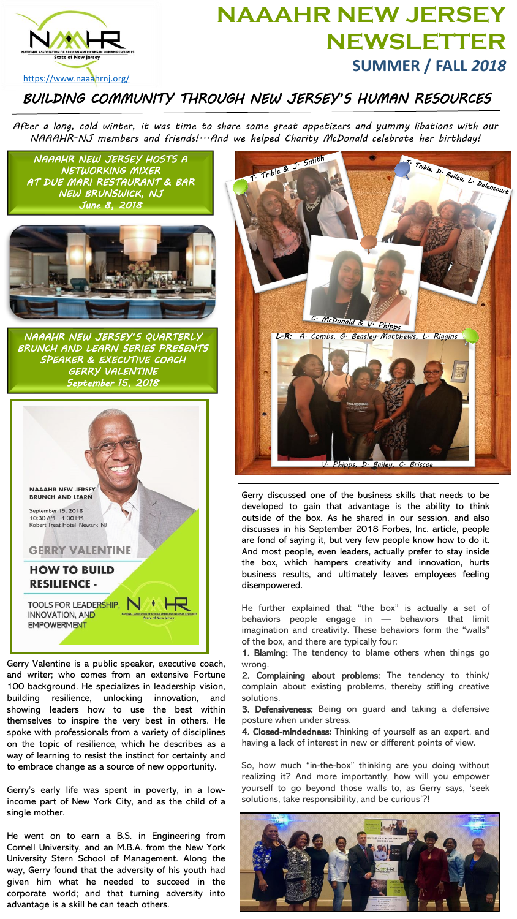

## **NAAAHR NEW JERSEY NEWSLETTER SUMMER / FALL** *2018*

## <https://www.naaahrnj.org/>

*BUILDING COMMUNITY THROUGH NEW JERSEY'S HUMAN RESOURCES*

*After a long, cold winter, it was time to share some great appetizers and yummy libations with our NAAAHR-NJ members and friends!...And we helped Charity McDonald celebrate her birthday!*



Gerry Valentine is a public speaker, executive coach, and writer; who comes from an extensive Fortune 100 background. He specializes in leadership vision, building resilience, unlocking innovation, and showing leaders how to use the best within themselves to inspire the very best in others. He spoke with professionals from a variety of disciplines on the topic of resilience, which he describes as a way of learning to resist the instinct for certainty and to embrace change as a source of new opportunity.

Gerry's early life was spent in poverty, in a lowincome part of New York City, and as the child of a single mother.

He went on to earn a B.S. in Engineering from Cornell University, and an M.B.A. from the New York University Stern School of Management. Along the way, Gerry found that the adversity of his youth had given him what he needed to succeed in the corporate world; and that turning adversity into advantage is a skill he can teach others.



Gerry discussed one of the business skills that needs to be developed to gain that advantage is the ability to think outside of the box. As he shared in our session, and also discusses in his September 2018 Forbes, Inc. article, people are fond of saying it, but very few people know how to do it. And most people, even leaders, actually prefer to stay inside the box, which hampers creativity and innovation, hurts business results, and ultimately leaves employees feeling disempowered.

He further explained that "the box" is actually a set of behaviors people engage in — behaviors that limit imagination and creativity. These behaviors form the "walls" of the box, and there are typically four:

1. Blaming: The tendency to blame others when things go wrong.

2. Complaining about problems: The tendency to think/ complain about existing problems, thereby stifling creative solutions.

3. Defensiveness: Being on guard and taking a defensive posture when under stress.

4. Closed-mindedness: Thinking of yourself as an expert, and having a lack of interest in new or different points of view.

So, how much "in-the-box" thinking are you doing without realizing it? And more importantly, how will you empower yourself to go beyond those walls to, as Gerry says, 'seek solutions, take responsibility, and be curious'?!